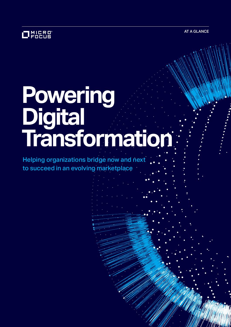AT A GLANCE

### 1MICRO°<br>'FOCUS

# **Powering Digital Transformation**

Helping organizations bridge now and next to succeed in an evolving marketplace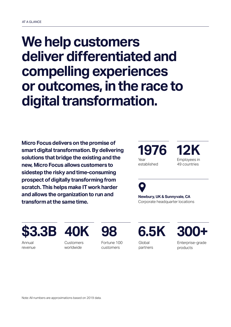## **We help customers deliver differentiated and compelling experiences or outcomes, in the race to digital transformation.**

**Micro Focus delivers on the promise of smart digital transformation. By delivering solutions that bridge the existing and the new, Micro Focus allows customers to sidestep the risky and time-consuming prospect of digitally transforming from scratch. This helps make IT work harder and allows the organization to run and transform at the same time.** 

**1976** Year established

Employees in 49 countries



**Newbury, UK & Sunnyvale, CA** Corporate headquarter locations

**\$3.3B 40K 98 6.5K 300+**

Annual revenue

**Customers** worldwide

Fortune 100 customers

Global

partners

Enterprise-grade products

Note: All numbers are approximations based on 2019 data.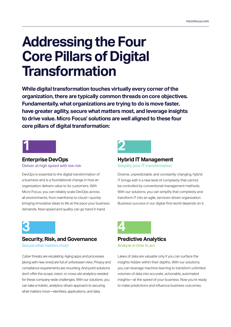# **Addressing the Four Core Pillars of Digital Transformation**

**While digital transformation touches virtually every corner of the organization, there are typically common threads on core objectives. Fundamentally, what organizations are trying to do is move faster, have greater agility, secure what matters most, and leverage insights to drive value. Micro Focus' solutions are well aligned to these four core pillars of digital transformation:** 



### **Enterprise DevOps**

Deliver at high speed with low risk

DevOps is essential to the digital transformation of a business and is a foundational change in how an organization delivers value to its customers. With Micro Focus, you can reliably scale DevOps across all environments, from mainframe to cloud—quickly bringing innovative ideas to life at the pace your business demands. Now speed and quality can go hand in hand.



### **Hybrid IT Management** Simplify your IT transformation

Diverse, unpredictable, and constantly changing, hybrid IT brings with it a new level of complexity that cannot be controlled by conventional management methods.

With our solutions, you can simplify that complexity and transform IT into an agile, services-driven organization. Business success in our digital-first world depends on it.



### **Security, Risk, and Governance**

Secure what matters most

Cyber threats are escalating. Aging apps and processes (along with new ones) are full of unforeseen risks. Privacy and compliance requirements are mounting. And point solutions don't offer the scope, vision, or cross-silo analytics needed for these company-wide challenges. With our solutions, you can take a holistic, analytics-driven approach to securing what matters most—identities, applications, and data.



#### **Predictive Analytics** Analyze in time to act

Lakes of data are valuable only if you can surface the insights hidden within their depths. With our solutions, you can leverage machine learning to transform unlimited volumes of data into accurate, actionable, automated insights—at the speed of your business. Now you're ready to make predictions and influence business outcomes.